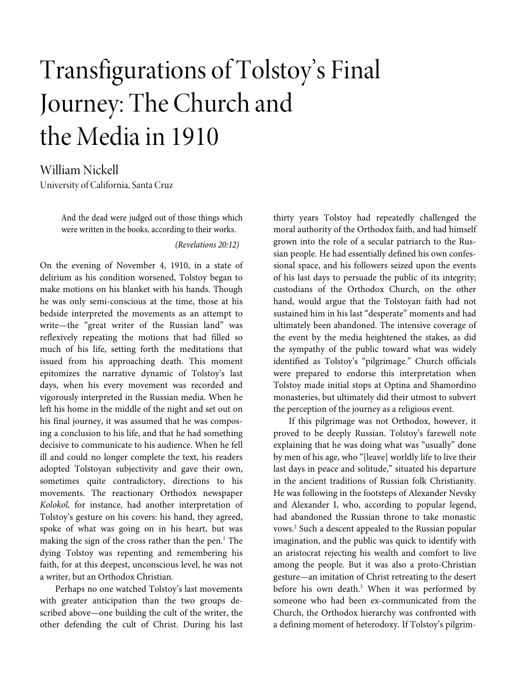# Transfigurations of Tolstoy's Final Journey: The Church and the Media in 1910

William Nickell University of California, Santa Cruz

> And the dead were judged out of those things which were written in the books, according to their works.

#### (Revelations 20:12)

On the evening of November 4, 1910, in a state of delirium as his condition worsened, Tolstoy began to make motions on his blanket with his hands. Though he was only semi-conscious at the time, those at his bedside interpreted the movements as an attempt to write—the "great writer of the Russian land" was reflexively repeating the motions that had filled so much of his life, setting forth the meditations that issued from his approaching death. This moment epitomizes the narrative dynamic of Tolstoy's last days, when his every movement was recorded and vigorously interpreted in the Russian media. When he left his home in the middle of the night and set out on his final journey, it was assumed that he was composing a conclusion to his life, and that he had something decisive to communicate to his audience. When he fell ill and could no longer complete the text, his readers adopted Tolstoyan subjectivity and gave their own, sometimes quite contradictory, directions to his movements. The reactionary Orthodox newspaper Kolokol, for instance, had another interpretation of Tolstoy's gesture on his covers: his hand, they agreed, spoke of what was going on in his heart, but was making the sign of the cross rather than the pen.<sup>1</sup> The dying Tolstoy was repenting and remembering his faith, for at this deepest, unconscious level, he was not a writer, but an Orthodox Christian.

Perhaps no one watched Tolstoy's last movements with greater anticipation than the two groups described above—one building the cult of the writer, the other defending the cult of Christ. During his last

thirty years Tolstoy had repeatedly challenged the moral authority of the Orthodox faith, and had himself grown into the role of a secular patriarch to the Russian people. He had essentially defined his own confessional space, and his followers seized upon the events of his last days to persuade the public of its integrity; custodians of the Orthodox Church, on the other hand, would argue that the Tolstoyan faith had not sustained him in his last "desperate" moments and had ultimately been abandoned. The intensive coverage of the event by the media heightened the stakes, as did the sympathy of the public toward what was widely identified as Tolstoy's "pilgrimage." Church officials were prepared to endorse this interpretation when Tolstoy made initial stops at Optina and Shamordino monasteries, but ultimately did their utmost to subvert the perception of the journey as a religious event.

If this pilgrimage was not Orthodox, however, it proved to be deeply Russian. Tolstoy's farewell note explaining that he was doing what was "usually" done by men of his age, who "[leave] worldly life to live their last days in peace and solitude," situated his departure in the ancient traditions of Russian folk Christianity. He was following in the footsteps of Alexander Nevsky and Alexander I, who, according to popular legend, had abandoned the Russian throne to take monastic vows.<sup>2</sup> Such a descent appealed to the Russian popular imagination, and the public was quick to identify with an aristocrat rejecting his wealth and comfort to live among the people. But it was also a proto-Christian gesture—an imitation of Christ retreating to the desert before his own death.<sup>3</sup> When it was performed by someone who had been ex-communicated from the Church, the Orthodox hierarchy was confronted with a defining moment of heterodoxy. If Tolstoy's pilgrim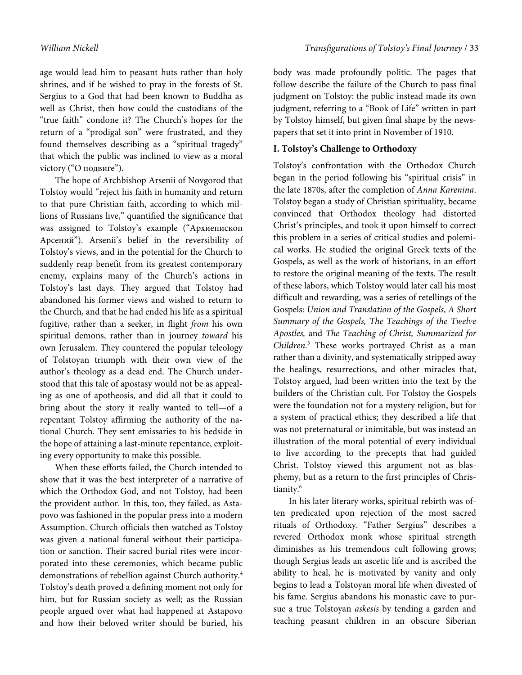age would lead him to peasant huts rather than holy shrines, and if he wished to pray in the forests of St. Sergius to a God that had been known to Buddha as well as Christ, then how could the custodians of the "true faith" condone it? The Church's hopes for the return of a "prodigal son" were frustrated, and they found themselves describing as a "spiritual tragedy" that which the public was inclined to view as a moral victory ("О подвиге").

The hope of Archbishop Arsenii of Novgorod that Tolstoy would "reject his faith in humanity and return to that pure Christian faith, according to which millions of Russians live," quantified the significance that was assigned to Tolstoy's example ("Архиепископ Арсений"). Arsenii's belief in the reversibility of Tolstoy's views, and in the potential for the Church to suddenly reap benefit from its greatest contemporary enemy, explains many of the Church's actions in Tolstoy's last days. They argued that Tolstoy had abandoned his former views and wished to return to the Church, and that he had ended his life as a spiritual fugitive, rather than a seeker, in flight from his own spiritual demons, rather than in journey toward his own Jerusalem. They countered the popular teleology of Tolstoyan triumph with their own view of the author's theology as a dead end. The Church understood that this tale of apostasy would not be as appealing as one of apotheosis, and did all that it could to bring about the story it really wanted to tell—of a repentant Tolstoy affirming the authority of the national Church. They sent emissaries to his bedside in the hope of attaining a last-minute repentance, exploiting every opportunity to make this possible.

When these efforts failed, the Church intended to show that it was the best interpreter of a narrative of which the Orthodox God, and not Tolstoy, had been the provident author. In this, too, they failed, as Astapovo was fashioned in the popular press into a modern Assumption. Church officials then watched as Tolstoy was given a national funeral without their participation or sanction. Their sacred burial rites were incorporated into these ceremonies, which became public demonstrations of rebellion against Church authority.<sup>4</sup> Tolstoy's death proved a defining moment not only for him, but for Russian society as well; as the Russian people argued over what had happened at Astapovo and how their beloved writer should be buried, his

body was made profoundly politic. The pages that follow describe the failure of the Church to pass final judgment on Tolstoy: the public instead made its own judgment, referring to a "Book of Life" written in part by Tolstoy himself, but given final shape by the newspapers that set it into print in November of 1910.

### **I. Tolstoy's Challenge to Orthodoxy**

Tolstoy's confrontation with the Orthodox Church began in the period following his "spiritual crisis" in the late 1870s, after the completion of Anna Karenina. Tolstoy began a study of Christian spirituality, became convinced that Orthodox theology had distorted Christ's principles, and took it upon himself to correct this problem in a series of critical studies and polemical works. He studied the original Greek texts of the Gospels, as well as the work of historians, in an effort to restore the original meaning of the texts. The result of these labors, which Tolstoy would later call his most difficult and rewarding, was a series of retellings of the Gospels: Union and Translation of the Gospels, A Short Summary of the Gospels, The Teachings of the Twelve Apostles, and The Teaching of Christ, Summarized for Children.<sup>5</sup> These works portrayed Christ as a man rather than a divinity, and systematically stripped away the healings, resurrections, and other miracles that, Tolstoy argued, had been written into the text by the builders of the Christian cult. For Tolstoy the Gospels were the foundation not for a mystery religion, but for a system of practical ethics; they described a life that was not preternatural or inimitable, but was instead an illustration of the moral potential of every individual to live according to the precepts that had guided Christ. Tolstoy viewed this argument not as blasphemy, but as a return to the first principles of Christianity.<sup>6</sup>

In his later literary works, spiritual rebirth was often predicated upon rejection of the most sacred rituals of Orthodoxy. "Father Sergius" describes a revered Orthodox monk whose spiritual strength diminishes as his tremendous cult following grows; though Sergius leads an ascetic life and is ascribed the ability to heal, he is motivated by vanity and only begins to lead a Tolstoyan moral life when divested of his fame. Sergius abandons his monastic cave to pursue a true Tolstoyan askesis by tending a garden and teaching peasant children in an obscure Siberian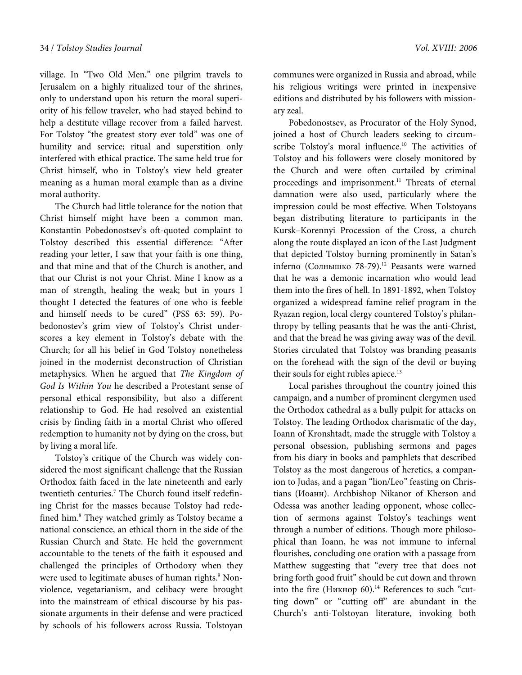village. In "Two Old Men," one pilgrim travels to Jerusalem on a highly ritualized tour of the shrines, only to understand upon his return the moral superiority of his fellow traveler, who had stayed behind to help a destitute village recover from a failed harvest. For Tolstoy "the greatest story ever told" was one of humility and service; ritual and superstition only interfered with ethical practice. The same held true for Christ himself, who in Tolstoy's view held greater meaning as a human moral example than as a divine moral authority.

The Church had little tolerance for the notion that Christ himself might have been a common man. Konstantin Pobedonostsev's oft-quoted complaint to Tolstoy described this essential difference: "After reading your letter, I saw that your faith is one thing, and that mine and that of the Church is another, and that our Christ is not your Christ. Mine I know as a man of strength, healing the weak; but in yours I thought I detected the features of one who is feeble and himself needs to be cured" (PSS 63: 59). Pobedonostev's grim view of Tolstoy's Christ underscores a key element in Tolstoy's debate with the Church; for all his belief in God Tolstoy nonetheless joined in the modernist deconstruction of Christian metaphysics. When he argued that The Kingdom of God Is Within You he described a Protestant sense of personal ethical responsibility, but also a different relationship to God. He had resolved an existential crisis by finding faith in a mortal Christ who offered redemption to humanity not by dying on the cross, but by living a moral life.

Tolstoy's critique of the Church was widely considered the most significant challenge that the Russian Orthodox faith faced in the late nineteenth and early twentieth centuries.<sup>7</sup> The Church found itself redefining Christ for the masses because Tolstoy had redefined him.<sup>8</sup> They watched grimly as Tolstoy became a national conscience, an ethical thorn in the side of the Russian Church and State. He held the government accountable to the tenets of the faith it espoused and challenged the principles of Orthodoxy when they were used to legitimate abuses of human rights.<sup>9</sup> Nonviolence, vegetarianism, and celibacy were brought into the mainstream of ethical discourse by his passionate arguments in their defense and were practiced by schools of his followers across Russia. Tolstoyan

communes were organized in Russia and abroad, while his religious writings were printed in inexpensive editions and distributed by his followers with missionary zeal.

Pobedonostsev, as Procurator of the Holy Synod, joined a host of Church leaders seeking to circumscribe Tolstoy's moral influence.<sup>10</sup> The activities of Tolstoy and his followers were closely monitored by the Church and were often curtailed by criminal proceedings and imprisonment.<sup>11</sup> Threats of eternal damnation were also used, particularly where the impression could be most effective. When Tolstoyans began distributing literature to participants in the Kursk–Korennyi Procession of the Cross, a church along the route displayed an icon of the Last Judgment that depicted Tolstoy burning prominently in Satan's inferno (Солнышко 78-79).<sup>12</sup> Peasants were warned that he was a demonic incarnation who would lead them into the fires of hell. In 1891-1892, when Tolstoy organized a widespread famine relief program in the Ryazan region, local clergy countered Tolstoy's philanthropy by telling peasants that he was the anti-Christ, and that the bread he was giving away was of the devil. Stories circulated that Tolstoy was branding peasants on the forehead with the sign of the devil or buying their souls for eight rubles apiece.<sup>13</sup>

Local parishes throughout the country joined this campaign, and a number of prominent clergymen used the Orthodox cathedral as a bully pulpit for attacks on Tolstoy. The leading Orthodox charismatic of the day, Ioann of Kronshtadt, made the struggle with Tolstoy a personal obsession, publishing sermons and pages from his diary in books and pamphlets that described Tolstoy as the most dangerous of heretics, a companion to Judas, and a pagan "lion/Leo" feasting on Christians (Иоанн). Archbishop Nikanor of Kherson and Odessa was another leading opponent, whose collection of sermons against Tolstoy's teachings went through a number of editions. Though more philosophical than Ioann, he was not immune to infernal flourishes, concluding one oration with a passage from Matthew suggesting that "every tree that does not bring forth good fruit" should be cut down and thrown into the fire (Никнор 60).<sup>14</sup> References to such "cutting down" or "cutting off" are abundant in the Church's anti-Tolstoyan literature, invoking both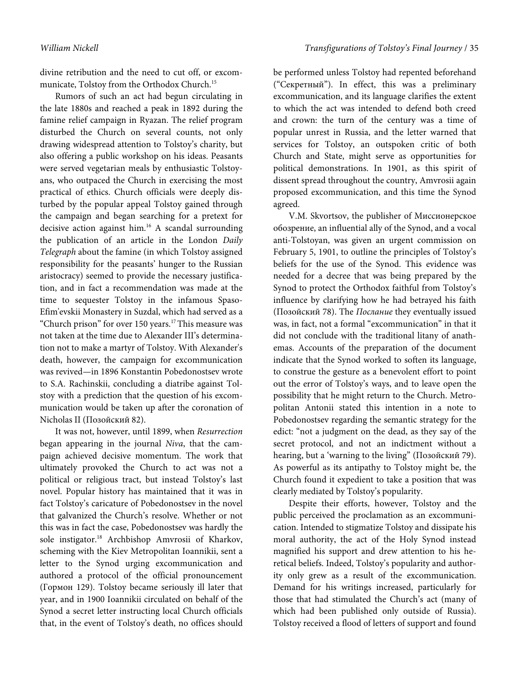divine retribution and the need to cut off, or excommunicate, Tolstoy from the Orthodox Church.<sup>15</sup>

Rumors of such an act had begun circulating in the late 1880s and reached a peak in 1892 during the famine relief campaign in Ryazan. The relief program disturbed the Church on several counts, not only drawing widespread attention to Tolstoy's charity, but also offering a public workshop on his ideas. Peasants were served vegetarian meals by enthusiastic Tolstoyans, who outpaced the Church in exercising the most practical of ethics. Church officials were deeply disturbed by the popular appeal Tolstoy gained through the campaign and began searching for a pretext for decisive action against him.<sup>16</sup> A scandal surrounding the publication of an article in the London Daily Telegraph about the famine (in which Tolstoy assigned responsibility for the peasants' hunger to the Russian aristocracy) seemed to provide the necessary justification, and in fact a recommendation was made at the time to sequester Tolstoy in the infamous Spaso-Efim'evskii Monastery in Suzdal, which had served as a "Church prison" for over 150 years.<sup>17</sup> This measure was not taken at the time due to Alexander III's determination not to make a martyr of Tolstoy. With Alexander's death, however, the campaign for excommunication was revived—in 1896 Konstantin Pobedonostsev wrote to S.A. Rachinskii, concluding a diatribe against Tolstoy with a prediction that the question of his excommunication would be taken up after the coronation of Nicholas II (Позойский 82).

It was not, however, until 1899, when Resurrection began appearing in the journal Niva, that the campaign achieved decisive momentum. The work that ultimately provoked the Church to act was not a political or religious tract, but instead Tolstoy's last novel. Popular history has maintained that it was in fact Tolstoy's caricature of Pobedonostsev in the novel that galvanized the Church's resolve. Whether or not this was in fact the case, Pobedonostsev was hardly the sole instigator.<sup>18</sup> Archbishop Amvrosii of Kharkov, scheming with the Kiev Metropolitan Ioannikii, sent a letter to the Synod urging excommunication and authored a protocol of the official pronouncement (Гормон 129). Tolstoy became seriously ill later that year, and in 1900 Ioannikii circulated on behalf of the Synod a secret letter instructing local Church officials that, in the event of Tolstoy's death, no offices should

William Nickell Transfigurations of Tolstoy's Final Journey / 35

be performed unless Tolstoy had repented beforehand ("Секретный"). In effect, this was a preliminary excommunication, and its language clarifies the extent to which the act was intended to defend both creed and crown: the turn of the century was a time of popular unrest in Russia, and the letter warned that services for Tolstoy, an outspoken critic of both Church and State, might serve as opportunities for political demonstrations. In 1901, as this spirit of dissent spread throughout the country, Amvrosii again proposed excommunication, and this time the Synod agreed.

V.M. Skvortsov, the publisher of Миссионерское обозрение, an influential ally of the Synod, and a vocal anti-Tolstoyan, was given an urgent commission on February 5, 1901, to outline the principles of Tolstoy's beliefs for the use of the Synod. This evidence was needed for a decree that was being prepared by the Synod to protect the Orthodox faithful from Tolstoy's influence by clarifying how he had betrayed his faith (Позойский 78). The Послание they eventually issued was, in fact, not a formal "excommunication" in that it did not conclude with the traditional litany of anathemas. Accounts of the preparation of the document indicate that the Synod worked to soften its language, to construe the gesture as a benevolent effort to point out the error of Tolstoy's ways, and to leave open the possibility that he might return to the Church. Metropolitan Antonii stated this intention in a note to Pobedonostsev regarding the semantic strategy for the edict: "not a judgment on the dead, as they say of the secret protocol, and not an indictment without a hearing, but a 'warning to the living" (Позойский 79). As powerful as its antipathy to Tolstoy might be, the Church found it expedient to take a position that was clearly mediated by Tolstoy's popularity.

Despite their efforts, however, Tolstoy and the public perceived the proclamation as an excommunication. Intended to stigmatize Tolstoy and dissipate his moral authority, the act of the Holy Synod instead magnified his support and drew attention to his heretical beliefs. Indeed, Tolstoy's popularity and authority only grew as a result of the excommunication. Demand for his writings increased, particularly for those that had stimulated the Church's act (many of which had been published only outside of Russia). Tolstoy received a flood of letters of support and found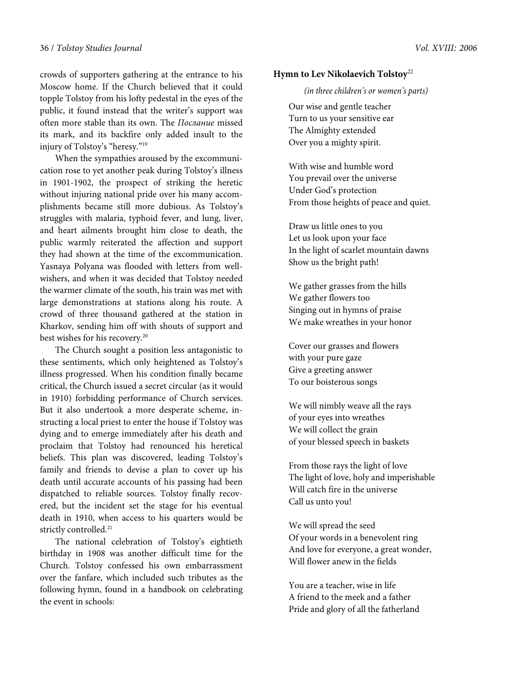crowds of supporters gathering at the entrance to his Moscow home. If the Church believed that it could topple Tolstoy from his lofty pedestal in the eyes of the public, it found instead that the writer's support was often more stable than its own. The Послание missed its mark, and its backfire only added insult to the injury of Tolstoy's "heresy."<sup>19</sup>

When the sympathies aroused by the excommunication rose to yet another peak during Tolstoy's illness in 1901-1902, the prospect of striking the heretic without injuring national pride over his many accomplishments became still more dubious. As Tolstoy's struggles with malaria, typhoid fever, and lung, liver, and heart ailments brought him close to death, the public warmly reiterated the affection and support they had shown at the time of the excommunication. Yasnaya Polyana was flooded with letters from wellwishers, and when it was decided that Tolstoy needed the warmer climate of the south, his train was met with large demonstrations at stations along his route. A crowd of three thousand gathered at the station in Kharkov, sending him off with shouts of support and best wishes for his recovery.<sup>20</sup>

The Church sought a position less antagonistic to these sentiments, which only heightened as Tolstoy's illness progressed. When his condition finally became critical, the Church issued a secret circular (as it would in 1910) forbidding performance of Church services. But it also undertook a more desperate scheme, instructing a local priest to enter the house if Tolstoy was dying and to emerge immediately after his death and proclaim that Tolstoy had renounced his heretical beliefs. This plan was discovered, leading Tolstoy's family and friends to devise a plan to cover up his death until accurate accounts of his passing had been dispatched to reliable sources. Tolstoy finally recovered, but the incident set the stage for his eventual death in 1910, when access to his quarters would be strictly controlled.<sup>21</sup>

The national celebration of Tolstoy's eightieth birthday in 1908 was another difficult time for the Church. Tolstoy confessed his own embarrassment over the fanfare, which included such tributes as the following hymn, found in a handbook on celebrating the event in schools:

### **Hymn to Lev Nikolaevich Tolstoy**<sup>22</sup>

(in three children's or women's parts)

Our wise and gentle teacher Turn to us your sensitive ear The Almighty extended Over you a mighty spirit.

With wise and humble word You prevail over the universe Under God's protection From those heights of peace and quiet.

Draw us little ones to you Let us look upon your face In the light of scarlet mountain dawns Show us the bright path!

We gather grasses from the hills We gather flowers too Singing out in hymns of praise We make wreathes in your honor

Cover our grasses and flowers with your pure gaze Give a greeting answer To our boisterous songs

We will nimbly weave all the rays of your eyes into wreathes We will collect the grain of your blessed speech in baskets

From those rays the light of love The light of love, holy and imperishable Will catch fire in the universe Call us unto you!

We will spread the seed Of your words in a benevolent ring And love for everyone, a great wonder, Will flower anew in the fields

You are a teacher, wise in life A friend to the meek and a father Pride and glory of all the fatherland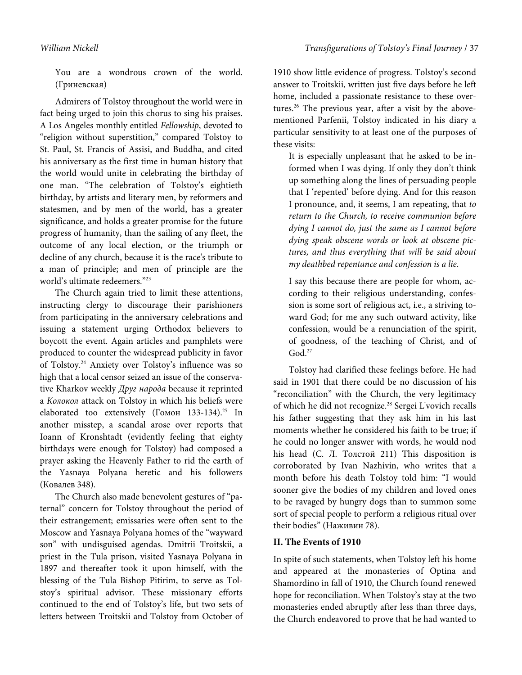You are a wondrous crown of the world. (Гриневская)

Admirers of Tolstoy throughout the world were in fact being urged to join this chorus to sing his praises. A Los Angeles monthly entitled Fellowship, devoted to "religion without superstition," compared Tolstoy to St. Paul, St. Francis of Assisi, and Buddha, and cited his anniversary as the first time in human history that the world would unite in celebrating the birthday of one man. "The celebration of Tolstoy's eightieth birthday, by artists and literary men, by reformers and statesmen, and by men of the world, has a greater significance, and holds a greater promise for the future progress of humanity, than the sailing of any fleet, the outcome of any local election, or the triumph or decline of any church, because it is the race's tribute to a man of principle; and men of principle are the world's ultimate redeemers."<sup>23</sup>

The Church again tried to limit these attentions, instructing clergy to discourage their parishioners from participating in the anniversary celebrations and issuing a statement urging Orthodox believers to boycott the event. Again articles and pamphlets were produced to counter the widespread publicity in favor of Tolstoy.<sup>24</sup> Anxiety over Tolstoy's influence was so high that a local censor seized an issue of the conservative Kharkov weekly Друг народа because it reprinted a Колокол attack on Tolstoy in which his beliefs were elaborated too extensively (Гомон 133-134).<sup>25</sup> In another misstep, a scandal arose over reports that Ioann of Kronshtadt (evidently feeling that eighty birthdays were enough for Tolstoy) had composed a prayer asking the Heavenly Father to rid the earth of the Yasnaya Polyana heretic and his followers (Ковалев 348).

The Church also made benevolent gestures of "paternal" concern for Tolstoy throughout the period of their estrangement; emissaries were often sent to the Moscow and Yasnaya Polyana homes of the "wayward son" with undisguised agendas. Dmitrii Troitskii, a priest in the Tula prison, visited Yasnaya Polyana in 1897 and thereafter took it upon himself, with the blessing of the Tula Bishop Pitirim, to serve as Tolstoy's spiritual advisor. These missionary efforts continued to the end of Tolstoy's life, but two sets of letters between Troitskii and Tolstoy from October of

1910 show little evidence of progress. Tolstoy's second answer to Troitskii, written just five days before he left home, included a passionate resistance to these overtures.<sup>26</sup> The previous year, after a visit by the abovementioned Parfenii, Tolstoy indicated in his diary a particular sensitivity to at least one of the purposes of these visits:

It is especially unpleasant that he asked to be informed when I was dying. If only they don't think up something along the lines of persuading people that I 'repented' before dying. And for this reason I pronounce, and, it seems, I am repeating, that to return to the Church, to receive communion before dying I cannot do, just the same as I cannot before dying speak obscene words or look at obscene pictures, and thus everything that will be said about my deathbed repentance and confession is a lie.

I say this because there are people for whom, according to their religious understanding, confession is some sort of religious act, i.e., a striving toward God; for me any such outward activity, like confession, would be a renunciation of the spirit, of goodness, of the teaching of Christ, and of  $God.<sup>27</sup>$ 

Tolstoy had clarified these feelings before. He had said in 1901 that there could be no discussion of his "reconciliation" with the Church, the very legitimacy of which he did not recognize.<sup>28</sup> Sergei L'vovich recalls his father suggesting that they ask him in his last moments whether he considered his faith to be true; if he could no longer answer with words, he would nod his head (С. Л. Толстой 211) This disposition is corroborated by Ivan Nazhivin, who writes that a month before his death Tolstoy told him: "I would sooner give the bodies of my children and loved ones to be ravaged by hungry dogs than to summon some sort of special people to perform a religious ritual over their bodies" (Наживин 78).

# **II. The Events of 1910**

In spite of such statements, when Tolstoy left his home and appeared at the monasteries of Optina and Shamordino in fall of 1910, the Church found renewed hope for reconciliation. When Tolstoy's stay at the two monasteries ended abruptly after less than three days, the Church endeavored to prove that he had wanted to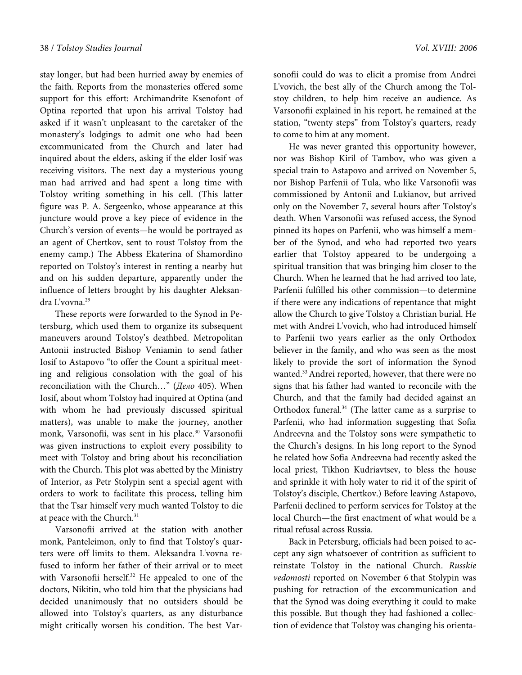stay longer, but had been hurried away by enemies of the faith. Reports from the monasteries offered some support for this effort: Archimandrite Ksenofont of Optina reported that upon his arrival Tolstoy had asked if it wasn't unpleasant to the caretaker of the monastery's lodgings to admit one who had been excommunicated from the Church and later had inquired about the elders, asking if the elder Iosif was receiving visitors. The next day a mysterious young man had arrived and had spent a long time with Tolstoy writing something in his cell. (This latter figure was P. A. Sergeenko, whose appearance at this juncture would prove a key piece of evidence in the Church's version of events—he would be portrayed as an agent of Chertkov, sent to roust Tolstoy from the enemy camp.) The Abbess Ekaterina of Shamordino reported on Tolstoy's interest in renting a nearby hut and on his sudden departure, apparently under the influence of letters brought by his daughter Aleksandra L'vovna.<sup>29</sup>

These reports were forwarded to the Synod in Petersburg, which used them to organize its subsequent maneuvers around Tolstoy's deathbed. Metropolitan Antonii instructed Bishop Veniamin to send father Iosif to Astapovo "to offer the Count a spiritual meeting and religious consolation with the goal of his reconciliation with the Church…" (Дело 405). When Iosif, about whom Tolstoy had inquired at Optina (and with whom he had previously discussed spiritual matters), was unable to make the journey, another monk, Varsonofii, was sent in his place.<sup>30</sup> Varsonofii was given instructions to exploit every possibility to meet with Tolstoy and bring about his reconciliation with the Church. This plot was abetted by the Ministry of Interior, as Petr Stolypin sent a special agent with orders to work to facilitate this process, telling him that the Tsar himself very much wanted Tolstoy to die at peace with the Church.<sup>31</sup>

Varsonofii arrived at the station with another monk, Panteleimon, only to find that Tolstoy's quarters were off limits to them. Aleksandra L'vovna refused to inform her father of their arrival or to meet with Varsonofii herself.<sup>32</sup> He appealed to one of the doctors, Nikitin, who told him that the physicians had decided unanimously that no outsiders should be allowed into Tolstoy's quarters, as any disturbance might critically worsen his condition. The best Varsonofii could do was to elicit a promise from Andrei L'vovich, the best ally of the Church among the Tolstoy children, to help him receive an audience. As Varsonofii explained in his report, he remained at the station, "twenty steps" from Tolstoy's quarters, ready to come to him at any moment.

He was never granted this opportunity however, nor was Bishop Kiril of Tambov, who was given a special train to Astapovo and arrived on November 5, nor Bishop Parfenii of Tula, who like Varsonofii was commissioned by Antonii and Lukianov, but arrived only on the November 7, several hours after Tolstoy's death. When Varsonofii was refused access, the Synod pinned its hopes on Parfenii, who was himself a member of the Synod, and who had reported two years earlier that Tolstoy appeared to be undergoing a spiritual transition that was bringing him closer to the Church. When he learned that he had arrived too late, Parfenii fulfilled his other commission—to determine if there were any indications of repentance that might allow the Church to give Tolstoy a Christian burial. He met with Andrei L'vovich, who had introduced himself to Parfenii two years earlier as the only Orthodox believer in the family, and who was seen as the most likely to provide the sort of information the Synod wanted.<sup>33</sup> Andrei reported, however, that there were no signs that his father had wanted to reconcile with the Church, and that the family had decided against an Orthodox funeral.<sup>34</sup> (The latter came as a surprise to Parfenii, who had information suggesting that Sofia Andreevna and the Tolstoy sons were sympathetic to the Church's designs. In his long report to the Synod he related how Sofia Andreevna had recently asked the local priest, Tikhon Kudriavtsev, to bless the house and sprinkle it with holy water to rid it of the spirit of Tolstoy's disciple, Chertkov.) Before leaving Astapovo, Parfenii declined to perform services for Tolstoy at the local Church—the first enactment of what would be a ritual refusal across Russia.

Back in Petersburg, officials had been poised to accept any sign whatsoever of contrition as sufficient to reinstate Tolstoy in the national Church. Russkie vedomosti reported on November 6 that Stolypin was pushing for retraction of the excommunication and that the Synod was doing everything it could to make this possible. But though they had fashioned a collection of evidence that Tolstoy was changing his orienta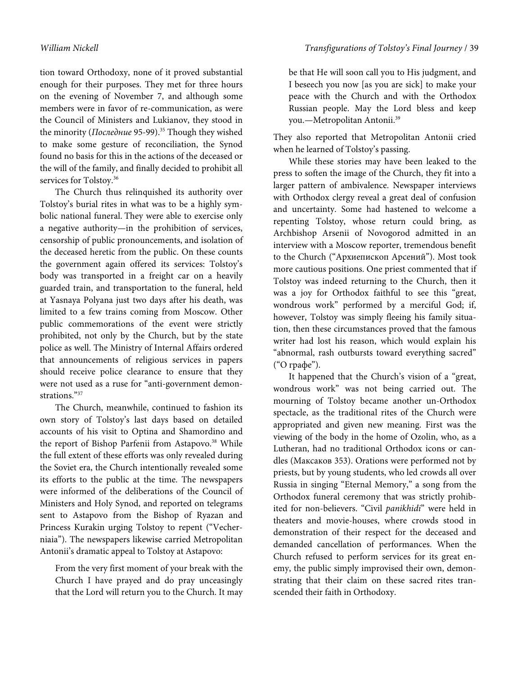tion toward Orthodoxy, none of it proved substantial enough for their purposes. They met for three hours on the evening of November 7, and although some members were in favor of re-communication, as were the Council of Ministers and Lukianov, they stood in the minority (Последние 95-99).<sup>35</sup> Though they wished to make some gesture of reconciliation, the Synod found no basis for this in the actions of the deceased or the will of the family, and finally decided to prohibit all services for Tolstoy.<sup>36</sup>

The Church thus relinquished its authority over Tolstoy's burial rites in what was to be a highly symbolic national funeral. They were able to exercise only a negative authority—in the prohibition of services, censorship of public pronouncements, and isolation of the deceased heretic from the public. On these counts the government again offered its services: Tolstoy's body was transported in a freight car on a heavily guarded train, and transportation to the funeral, held at Yasnaya Polyana just two days after his death, was limited to a few trains coming from Moscow. Other public commemorations of the event were strictly prohibited, not only by the Church, but by the state police as well. The Ministry of Internal Affairs ordered that announcements of religious services in papers should receive police clearance to ensure that they were not used as a ruse for "anti-government demonstrations."<sup>37</sup>

The Church, meanwhile, continued to fashion its own story of Tolstoy's last days based on detailed accounts of his visit to Optina and Shamordino and the report of Bishop Parfenii from Astapovo.<sup>38</sup> While the full extent of these efforts was only revealed during the Soviet era, the Church intentionally revealed some its efforts to the public at the time. The newspapers were informed of the deliberations of the Council of Ministers and Holy Synod, and reported on telegrams sent to Astapovo from the Bishop of Ryazan and Princess Kurakin urging Tolstoy to repent ("Vecherniaia"). The newspapers likewise carried Metropolitan Antonii's dramatic appeal to Tolstoy at Astapovo:

From the very first moment of your break with the Church I have prayed and do pray unceasingly that the Lord will return you to the Church. It may be that He will soon call you to His judgment, and I beseech you now [as you are sick] to make your peace with the Church and with the Orthodox Russian people. May the Lord bless and keep you.—Metropolitan Antonii.<sup>39</sup>

They also reported that Metropolitan Antonii cried when he learned of Tolstoy's passing.

While these stories may have been leaked to the press to soften the image of the Church, they fit into a larger pattern of ambivalence. Newspaper interviews with Orthodox clergy reveal a great deal of confusion and uncertainty. Some had hastened to welcome a repenting Tolstoy, whose return could bring, as Archbishop Arsenii of Novogorod admitted in an interview with a Moscow reporter, tremendous benefit to the Church ("Архиепископ Арсений"). Most took more cautious positions. One priest commented that if Tolstoy was indeed returning to the Church, then it was a joy for Orthodox faithful to see this "great, wondrous work" performed by a merciful God; if, however, Tolstoy was simply fleeing his family situation, then these circumstances proved that the famous writer had lost his reason, which would explain his "abnormal, rash outbursts toward everything sacred" ("О графе").

It happened that the Church's vision of a "great, wondrous work" was not being carried out. The mourning of Tolstoy became another un-Orthodox spectacle, as the traditional rites of the Church were appropriated and given new meaning. First was the viewing of the body in the home of Ozolin, who, as a Lutheran, had no traditional Orthodox icons or candles (Максаков 353). Orations were performed not by priests, but by young students, who led crowds all over Russia in singing "Eternal Memory," a song from the Orthodox funeral ceremony that was strictly prohibited for non-believers. "Civil panikhidi" were held in theaters and movie-houses, where crowds stood in demonstration of their respect for the deceased and demanded cancellation of performances. When the Church refused to perform services for its great enemy, the public simply improvised their own, demonstrating that their claim on these sacred rites transcended their faith in Orthodoxy.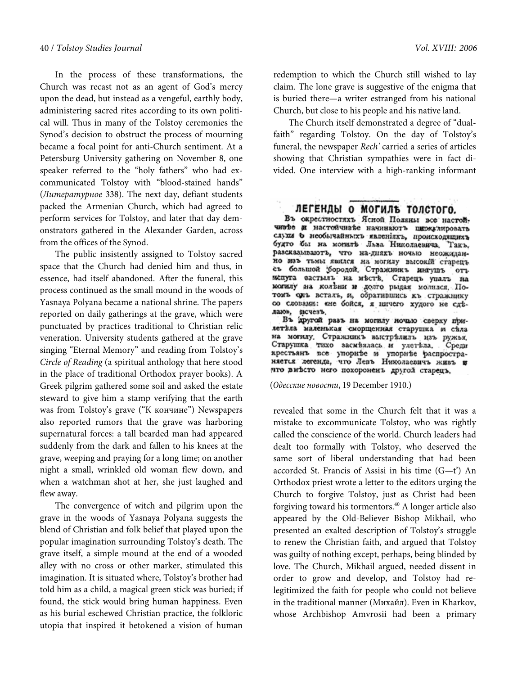In the process of these transformations, the Church was recast not as an agent of God's mercy upon the dead, but instead as a vengeful, earthly body, administering sacred rites according to its own political will. Thus in many of the Tolstoy ceremonies the Synod's decision to obstruct the process of mourning became a focal point for anti-Church sentiment. At a Petersburg University gathering on November 8, one speaker referred to the "holy fathers" who had excommunicated Tolstoy with "blood-stained hands" (Литературное 338). The next day, defiant students packed the Armenian Church, which had agreed to perform services for Tolstoy, and later that day demonstrators gathered in the Alexander Garden, across from the offices of the Synod.

The public insistently assigned to Tolstoy sacred space that the Church had denied him and thus, in essence, had itself abandoned. After the funeral, this process continued as the small mound in the woods of Yasnaya Polyana became a national shrine. The papers reported on daily gatherings at the grave, which were punctuated by practices traditional to Christian relic veneration. University students gathered at the grave singing "Eternal Memory" and reading from Tolstoy's Circle of Reading (a spiritual anthology that here stood in the place of traditional Orthodox prayer books). A Greek pilgrim gathered some soil and asked the estate steward to give him a stamp verifying that the earth was from Tolstoy's grave ("К кончине") Newspapers also reported rumors that the grave was harboring supernatural forces: a tall bearded man had appeared suddenly from the dark and fallen to his knees at the grave, weeping and praying for a long time; on another night a small, wrinkled old woman flew down, and when a watchman shot at her, she just laughed and flew away.

The convergence of witch and pilgrim upon the grave in the woods of Yasnaya Polyana suggests the blend of Christian and folk belief that played upon the popular imagination surrounding Tolstoy's death. The grave itself, a simple mound at the end of a wooded alley with no cross or other marker, stimulated this imagination. It is situated where, Tolstoy's brother had told him as a child, a magical green stick was buried; if found, the stick would bring human happiness. Even as his burial eschewed Christian practice, the folkloric utopia that inspired it betokened a vision of human

redemption to which the Church still wished to lay claim. The lone grave is suggestive of the enigma that is buried there—a writer estranged from his national Church, but close to his people and his native land.

The Church itself demonstrated a degree of "dualfaith" regarding Tolstoy. On the day of Tolstoy's funeral, the newspaper Rech' carried a series of articles showing that Christian sympathies were in fact divided. One interview with a high-ranking informant

# ЛЕГЕНДЫ О МОГИЛЬ ТОЛСТОГО.

Въ окрестностяхъ Ясной Поляны все настойчивее и настойчивъе начинаютъ пиркулировать слухи о необычайныхъ явленияхъ, происходящихъ будто бы на могить Льва Николаевича. Такъ. разсказывають, что на-дияхъ ночью неожиданно изъ тьмы явился на могилу высокій старецъ съ большой фородой. Стражникъ интушъ отъ испуга вастыль на месть. Старець упаль на могилу на колени и долго рыдая молился. Потомъ сить всталь, и, обратившись къ стражнику со словами: «не бойся, я ничего худого не сде-

даю», исчезъ.<br>Въ другой разъ на могилу ночью сверху прилетвла маленькая сморщениях старушка и свла на могилу. Стражникъ выстрелилъ изъ ружья. Старушка тихо засмеялась и улетьла. Среди крестьянъ все упорнее и упорнее распростраято вивсто него похороненъ другой старецъ.

(Одесские новости, 19 December 1910.)

revealed that some in the Church felt that it was a mistake to excommunicate Tolstoy, who was rightly called the conscience of the world. Church leaders had dealt too formally with Tolstoy, who deserved the same sort of liberal understanding that had been accorded St. Francis of Assisi in his time (G—t') An Orthodox priest wrote a letter to the editors urging the Church to forgive Tolstoy, just as Christ had been forgiving toward his tormentors.<sup>40</sup> A longer article also appeared by the Old-Believer Bishop Mikhail, who presented an exalted description of Tolstoy's struggle to renew the Christian faith, and argued that Tolstoy was guilty of nothing except, perhaps, being blinded by love. The Church, Mikhail argued, needed dissent in order to grow and develop, and Tolstoy had relegitimized the faith for people who could not believe in the traditional manner (Михайл). Even in Kharkov, whose Archbishop Amvrosii had been a primary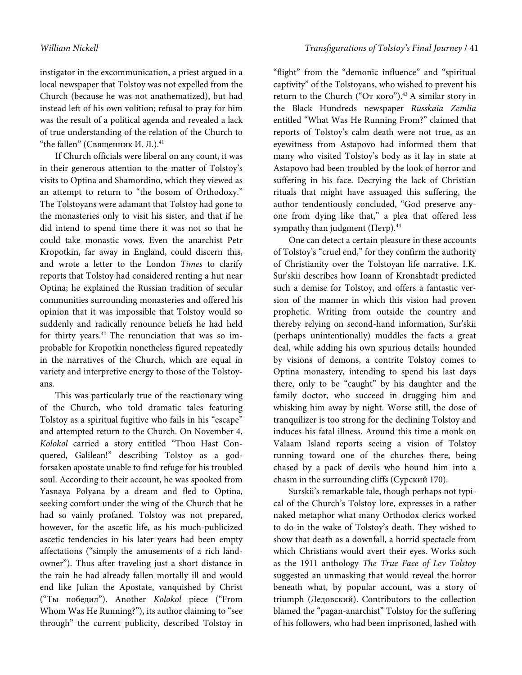instigator in the excommunication, a priest argued in a local newspaper that Tolstoy was not expelled from the Church (because he was not anathematized), but had instead left of his own volition; refusal to pray for him was the result of a political agenda and revealed a lack of true understanding of the relation of the Church to "the fallen" (Священник И. Л.). $41$ 

If Church officials were liberal on any count, it was in their generous attention to the matter of Tolstoy's visits to Optina and Shamordino, which they viewed as an attempt to return to "the bosom of Orthodoxy." The Tolstoyans were adamant that Tolstoy had gone to the monasteries only to visit his sister, and that if he did intend to spend time there it was not so that he could take monastic vows. Even the anarchist Petr Kropotkin, far away in England, could discern this, and wrote a letter to the London Times to clarify reports that Tolstoy had considered renting a hut near Optina; he explained the Russian tradition of secular communities surrounding monasteries and offered his opinion that it was impossible that Tolstoy would so suddenly and radically renounce beliefs he had held for thirty years. $42$  The renunciation that was so improbable for Kropotkin nonetheless figured repeatedly in the narratives of the Church, which are equal in variety and interpretive energy to those of the Tolstoyans.

This was particularly true of the reactionary wing of the Church, who told dramatic tales featuring Tolstoy as a spiritual fugitive who fails in his "escape" and attempted return to the Church. On November 4, Kolokol carried a story entitled "Thou Hast Conquered, Galilean!" describing Tolstoy as a godforsaken apostate unable to find refuge for his troubled soul. According to their account, he was spooked from Yasnaya Polyana by a dream and fled to Optina, seeking comfort under the wing of the Church that he had so vainly profaned. Tolstoy was not prepared, however, for the ascetic life, as his much-publicized ascetic tendencies in his later years had been empty affectations ("simply the amusements of a rich landowner"). Thus after traveling just a short distance in the rain he had already fallen mortally ill and would end like Julian the Apostate, vanquished by Christ ("Ты победил"). Another Kolokol piece ("From Whom Was He Running?"), its author claiming to "see through" the current publicity, described Tolstoy in

"flight" from the "demonic influence" and "spiritual captivity" of the Tolstoyans, who wished to prevent his return to the Church ("От кого").<sup>43</sup> A similar story in the Black Hundreds newspaper Russkaia Zemlia entitled "What Was He Running From?" claimed that reports of Tolstoy's calm death were not true, as an eyewitness from Astapovo had informed them that many who visited Tolstoy's body as it lay in state at Astapovo had been troubled by the look of horror and suffering in his face. Decrying the lack of Christian rituals that might have assuaged this suffering, the author tendentiously concluded, "God preserve anyone from dying like that," a plea that offered less sympathy than judgment (Петр). $44$ 

One can detect a certain pleasure in these accounts of Tolstoy's "cruel end," for they confirm the authority of Christianity over the Tolstoyan life narrative. I.K. Sur'skii describes how Ioann of Kronshtadt predicted such a demise for Tolstoy, and offers a fantastic version of the manner in which this vision had proven prophetic. Writing from outside the country and thereby relying on second-hand information, Sur'skii (perhaps unintentionally) muddles the facts a great deal, while adding his own spurious details: hounded by visions of demons, a contrite Tolstoy comes to Optina monastery, intending to spend his last days there, only to be "caught" by his daughter and the family doctor, who succeed in drugging him and whisking him away by night. Worse still, the dose of tranquilizer is too strong for the declining Tolstoy and induces his fatal illness. Around this time a monk on Valaam Island reports seeing a vision of Tolstoy running toward one of the churches there, being chased by a pack of devils who hound him into a chasm in the surrounding cliffs (Сурский 170).

Surskii's remarkable tale, though perhaps not typical of the Church's Tolstoy lore, expresses in a rather naked metaphor what many Orthodox clerics worked to do in the wake of Tolstoy's death. They wished to show that death as a downfall, a horrid spectacle from which Christians would avert their eyes. Works such as the 1911 anthology The True Face of Lev Tolstoy suggested an unmasking that would reveal the horror beneath what, by popular account, was a story of triumph (Ледовский). Contributors to the collection blamed the "pagan-anarchist" Tolstoy for the suffering of his followers, who had been imprisoned, lashed with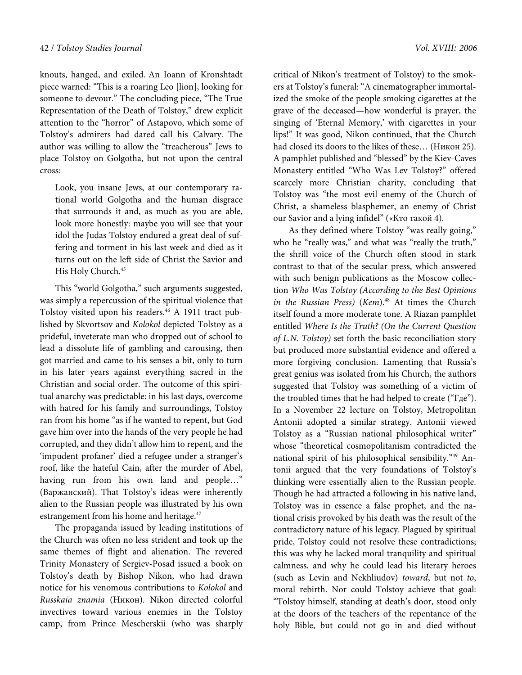knouts, hanged, and exiled. An Ioann of Kronshtadt piece warned: "This is a roaring Leo [lion], looking for someone to devour." The concluding piece, "The True Representation of the Death of Tolstoy," drew explicit attention to the "horror" of Astapovo, which some of Tolstoy's admirers had dared call his Calvary. The author was willing to allow the "treacherous" Jews to place Tolstoy on Golgotha, but not upon the central cross:

Look, you insane Jews, at our contemporary rational world Golgotha and the human disgrace that surrounds it and, as much as you are able, look more honestly: maybe you will see that your idol the Judas Tolstoy endured a great deal of suffering and torment in his last week and died as it turns out on the left side of Christ the Savior and His Holy Church.<sup>45</sup>

This "world Golgotha," such arguments suggested, was simply a repercussion of the spiritual violence that Tolstoy visited upon his readers.<sup>46</sup> A 1911 tract published by Skvortsov and Kolokol depicted Tolstoy as a prideful, inveterate man who dropped out of school to lead a dissolute life of gambling and carousing, then got married and came to his senses a bit, only to turn in his later years against everything sacred in the Christian and social order. The outcome of this spiritual anarchy was predictable: in his last days, overcome with hatred for his family and surroundings, Tolstoy ran from his home "as if he wanted to repent, but God gave him over into the hands of the very people he had corrupted, and they didn't allow him to repent, and the 'impudent profaner' died a refugee under a stranger's roof, like the hateful Cain, after the murder of Abel, having run from his own land and people…" (Варжанский). That Tolstoy's ideas were inherently alien to the Russian people was illustrated by his own estrangement from his home and heritage.<sup>47</sup>

The propaganda issued by leading institutions of the Church was often no less strident and took up the same themes of flight and alienation. The revered Trinity Monastery of Sergiev-Posad issued a book on Tolstoy's death by Bishop Nikon, who had drawn notice for his venomous contributions to Kolokol and Russkaia znamia (Никон). Nikon directed colorful invectives toward various enemies in the Tolstoy camp, from Prince Mescherskii (who was sharply

critical of Nikon's treatment of Tolstoy) to the smokers at Tolstoy's funeral: "A cinematographer immortalized the smoke of the people smoking cigarettes at the grave of the deceased—how wonderful is prayer, the singing of 'Eternal Memory,' with cigarettes in your lips!" It was good, Nikon continued, that the Church had closed its doors to the likes of these… (Никон 25). A pamphlet published and "blessed" by the Kiev-Caves Monastery entitled "Who Was Lev Tolstoy?" offered scarcely more Christian charity, concluding that Tolstoy was "the most evil enemy of the Church of Christ, a shameless blasphemer, an enemy of Christ our Savior and a lying infidel" («Кто такой 4).

As they defined where Tolstoy "was really going," who he "really was," and what was "really the truth," the shrill voice of the Church often stood in stark contrast to that of the secular press, which answered with such benign publications as the Moscow collection Who Was Tolstoy (According to the Best Opinions in the Russian Press) (Kem).<sup>48</sup> At times the Church itself found a more moderate tone. A Riazan pamphlet entitled Where Is the Truth? (On the Current Question of L.N. Tolstoy) set forth the basic reconciliation story but produced more substantial evidence and offered a more forgiving conclusion. Lamenting that Russia's great genius was isolated from his Church, the authors suggested that Tolstoy was something of a victim of the troubled times that he had helped to create ("Где"). In a November 22 lecture on Tolstoy, Metropolitan Antonii adopted a similar strategy. Antonii viewed Tolstoy as a "Russian national philosophical writer" whose "theoretical cosmopolitanism contradicted the national spirit of his philosophical sensibility."49 Antonii argued that the very foundations of Tolstoy's thinking were essentially alien to the Russian people. Though he had attracted a following in his native land, Tolstoy was in essence a false prophet, and the national crisis provoked by his death was the result of the contradictory nature of his legacy. Plagued by spiritual pride, Tolstoy could not resolve these contradictions; this was why he lacked moral tranquility and spiritual calmness, and why he could lead his literary heroes (such as Levin and Nekhliudov) toward, but not to, moral rebirth. Nor could Tolstoy achieve that goal: "Tolstoy himself, standing at death's door, stood only at the doors of the teachers of the repentance of the holy Bible, but could not go in and died without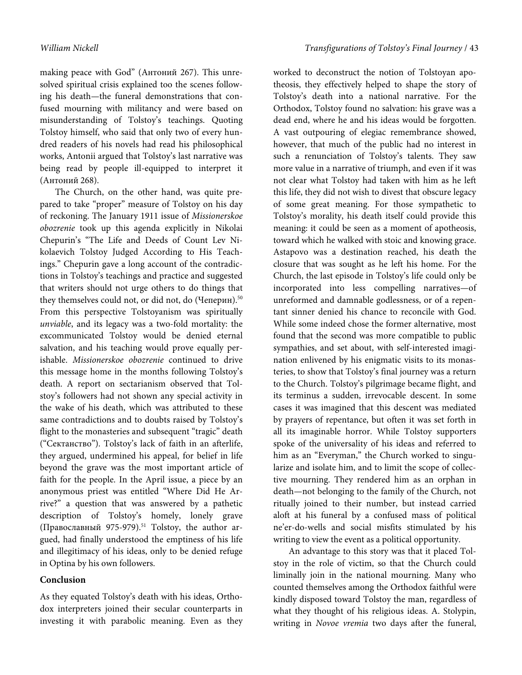making peace with God" (Антоний 267). This unresolved spiritual crisis explained too the scenes following his death—the funeral demonstrations that confused mourning with militancy and were based on misunderstanding of Tolstoy's teachings. Quoting Tolstoy himself, who said that only two of every hundred readers of his novels had read his philosophical works, Antonii argued that Tolstoy's last narrative was being read by people ill-equipped to interpret it (Антоний 268).

The Church, on the other hand, was quite prepared to take "proper" measure of Tolstoy on his day of reckoning. The January 1911 issue of Missionerskoe obozrenie took up this agenda explicitly in Nikolai Chepurin's "The Life and Deeds of Count Lev Nikolaevich Tolstoy Judged According to His Teachings." Chepurin gave a long account of the contradictions in Tolstoy's teachings and practice and suggested that writers should not urge others to do things that they themselves could not, or did not, do (Чеперин).<sup>50</sup> From this perspective Tolstoyanism was spiritually unviable, and its legacy was a two-fold mortality: the excommunicated Tolstoy would be denied eternal salvation, and his teaching would prove equally perishable. Missionerskoe obozrenie continued to drive this message home in the months following Tolstoy's death. A report on sectarianism observed that Tolstoy's followers had not shown any special activity in the wake of his death, which was attributed to these same contradictions and to doubts raised by Tolstoy's flight to the monasteries and subsequent "tragic" death ("Сектанство"). Tolstoy's lack of faith in an afterlife, they argued, undermined his appeal, for belief in life beyond the grave was the most important article of faith for the people. In the April issue, a piece by an anonymous priest was entitled "Where Did He Arrive?" a question that was answered by a pathetic description of Tolstoy's homely, lonely grave (Православный 975-979).<sup>51</sup> Tolstoy, the author argued, had finally understood the emptiness of his life and illegitimacy of his ideas, only to be denied refuge in Optina by his own followers.

## **Conclusion**

As they equated Tolstoy's death with his ideas, Orthodox interpreters joined their secular counterparts in investing it with parabolic meaning. Even as they worked to deconstruct the notion of Tolstoyan apotheosis, they effectively helped to shape the story of Tolstoy's death into a national narrative. For the Orthodox, Tolstoy found no salvation: his grave was a dead end, where he and his ideas would be forgotten. A vast outpouring of elegiac remembrance showed, however, that much of the public had no interest in such a renunciation of Tolstoy's talents. They saw more value in a narrative of triumph, and even if it was not clear what Tolstoy had taken with him as he left this life, they did not wish to divest that obscure legacy of some great meaning. For those sympathetic to Tolstoy's morality, his death itself could provide this meaning: it could be seen as a moment of apotheosis, toward which he walked with stoic and knowing grace. Astapovo was a destination reached, his death the closure that was sought as he left his home. For the Church, the last episode in Tolstoy's life could only be incorporated into less compelling narratives—of unreformed and damnable godlessness, or of a repentant sinner denied his chance to reconcile with God. While some indeed chose the former alternative, most found that the second was more compatible to public sympathies, and set about, with self-interested imagination enlivened by his enigmatic visits to its monasteries, to show that Tolstoy's final journey was a return to the Church. Tolstoy's pilgrimage became flight, and its terminus a sudden, irrevocable descent. In some cases it was imagined that this descent was mediated by prayers of repentance, but often it was set forth in all its imaginable horror. While Tolstoy supporters spoke of the universality of his ideas and referred to him as an "Everyman," the Church worked to singularize and isolate him, and to limit the scope of collective mourning. They rendered him as an orphan in death—not belonging to the family of the Church, not ritually joined to their number, but instead carried aloft at his funeral by a confused mass of political ne'er-do-wells and social misfits stimulated by his writing to view the event as a political opportunity.

An advantage to this story was that it placed Tolstoy in the role of victim, so that the Church could liminally join in the national mourning. Many who counted themselves among the Orthodox faithful were kindly disposed toward Tolstoy the man, regardless of what they thought of his religious ideas. A. Stolypin, writing in Novoe vremia two days after the funeral,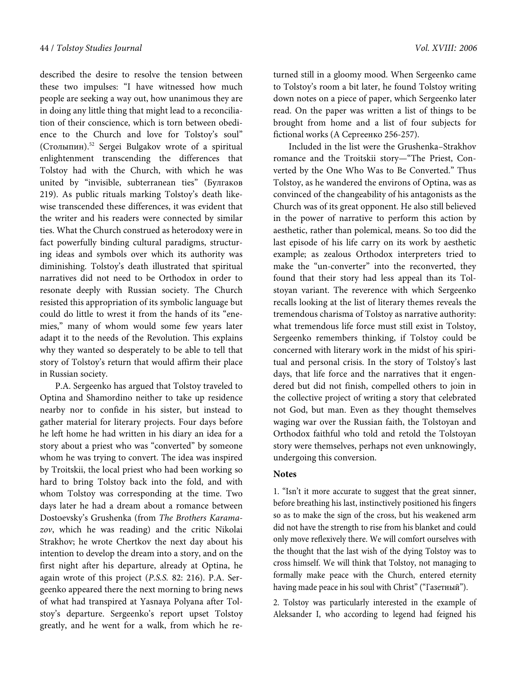described the desire to resolve the tension between these two impulses: "I have witnessed how much people are seeking a way out, how unanimous they are in doing any little thing that might lead to a reconciliation of their conscience, which is torn between obedience to the Church and love for Tolstoy's soul" (Столыпин).<sup>52</sup> Sergei Bulgakov wrote of a spiritual enlightenment transcending the differences that Tolstoy had with the Church, with which he was united by "invisible, subterranean ties" (Булгаков 219). As public rituals marking Tolstoy's death likewise transcended these differences, it was evident that the writer and his readers were connected by similar ties. What the Church construed as heterodoxy were in fact powerfully binding cultural paradigms, structuring ideas and symbols over which its authority was diminishing. Tolstoy's death illustrated that spiritual narratives did not need to be Orthodox in order to resonate deeply with Russian society. The Church resisted this appropriation of its symbolic language but could do little to wrest it from the hands of its "enemies," many of whom would some few years later adapt it to the needs of the Revolution. This explains why they wanted so desperately to be able to tell that story of Tolstoy's return that would affirm their place in Russian society.

P.A. Sergeenko has argued that Tolstoy traveled to Optina and Shamordino neither to take up residence nearby nor to confide in his sister, but instead to gather material for literary projects. Four days before he left home he had written in his diary an idea for a story about a priest who was "converted" by someone whom he was trying to convert. The idea was inspired by Troitskii, the local priest who had been working so hard to bring Tolstoy back into the fold, and with whom Tolstoy was corresponding at the time. Two days later he had a dream about a romance between Dostoevsky's Grushenka (from The Brothers Karamazov, which he was reading) and the critic Nikolai Strakhov; he wrote Chertkov the next day about his intention to develop the dream into a story, and on the first night after his departure, already at Optina, he again wrote of this project (P.S.S. 82: 216). P.A. Sergeenko appeared there the next morning to bring news of what had transpired at Yasnaya Polyana after Tolstoy's departure. Sergeenko's report upset Tolstoy greatly, and he went for a walk, from which he returned still in a gloomy mood. When Sergeenko came to Tolstoy's room a bit later, he found Tolstoy writing down notes on a piece of paper, which Sergeenko later read. On the paper was written a list of things to be brought from home and a list of four subjects for fictional works (А Сергеенко 256-257).

Included in the list were the Grushenka–Strakhov romance and the Troitskii story—"The Priest, Converted by the One Who Was to Be Converted." Thus Tolstoy, as he wandered the environs of Optina, was as convinced of the changeability of his antagonists as the Church was of its great opponent. He also still believed in the power of narrative to perform this action by aesthetic, rather than polemical, means. So too did the last episode of his life carry on its work by aesthetic example; as zealous Orthodox interpreters tried to make the "un-converter" into the reconverted, they found that their story had less appeal than its Tolstoyan variant. The reverence with which Sergeenko recalls looking at the list of literary themes reveals the tremendous charisma of Tolstoy as narrative authority: what tremendous life force must still exist in Tolstoy, Sergeenko remembers thinking, if Tolstoy could be concerned with literary work in the midst of his spiritual and personal crisis. In the story of Tolstoy's last days, that life force and the narratives that it engendered but did not finish, compelled others to join in the collective project of writing a story that celebrated not God, but man. Even as they thought themselves waging war over the Russian faith, the Tolstoyan and Orthodox faithful who told and retold the Tolstoyan story were themselves, perhaps not even unknowingly, undergoing this conversion.

#### **Notes**

1. "Isn't it more accurate to suggest that the great sinner, before breathing his last, instinctively positioned his fingers so as to make the sign of the cross, but his weakened arm did not have the strength to rise from his blanket and could only move reflexively there. We will comfort ourselves with the thought that the last wish of the dying Tolstoy was to cross himself. We will think that Tolstoy, not managing to formally make peace with the Church, entered eternity having made peace in his soul with Christ" ("Газетный").

2. Tolstoy was particularly interested in the example of Aleksander I, who according to legend had feigned his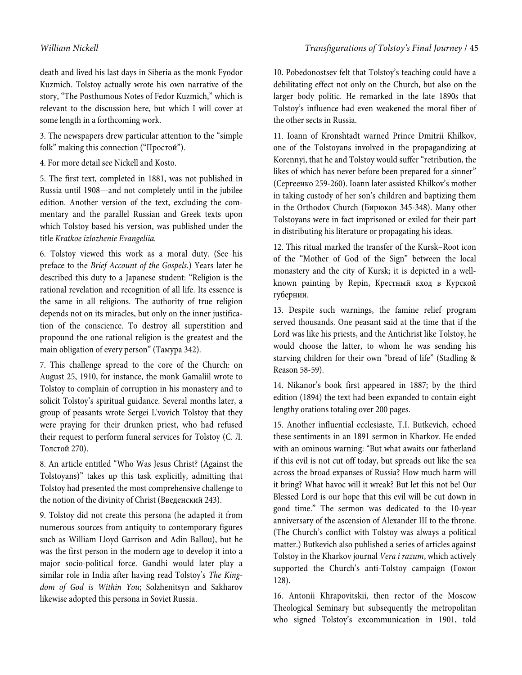death and lived his last days in Siberia as the monk Fyodor Kuzmich. Tolstoy actually wrote his own narrative of the story, "The Posthumous Notes of Fedor Kuzmich," which is relevant to the discussion here, but which I will cover at some length in a forthcoming work.

3. The newspapers drew particular attention to the "simple folk" making this connection ("Простой").

4. For more detail see Nickell and Kosto.

5. The first text, completed in 1881, was not published in Russia until 1908—and not completely until in the jubilee edition. Another version of the text, excluding the commentary and the parallel Russian and Greek texts upon which Tolstoy based his version, was published under the title Kratkoe izlozhenie Evangeliia.

6. Tolstoy viewed this work as a moral duty. (See his preface to the Brief Account of the Gospels.) Years later he described this duty to a Japanese student: "Religion is the rational revelation and recognition of all life. Its essence is the same in all religions. The authority of true religion depends not on its miracles, but only on the inner justification of the conscience. To destroy all superstition and propound the one rational religion is the greatest and the main obligation of every person" (Тамура 342).

7. This challenge spread to the core of the Church: on August 25, 1910, for instance, the monk Gamaliil wrote to Tolstoy to complain of corruption in his monastery and to solicit Tolstoy's spiritual guidance. Several months later, a group of peasants wrote Sergei L'vovich Tolstoy that they were praying for their drunken priest, who had refused their request to perform funeral services for Tolstoy (С. Л. Толстой 270).

8. An article entitled "Who Was Jesus Christ? (Against the Tolstoyans)" takes up this task explicitly, admitting that Tolstoy had presented the most comprehensive challenge to the notion of the divinity of Christ (Введенский 243).

9. Tolstoy did not create this persona (he adapted it from numerous sources from antiquity to contemporary figures such as William Lloyd Garrison and Adin Ballou), but he was the first person in the modern age to develop it into a major socio-political force. Gandhi would later play a similar role in India after having read Tolstoy's The Kingdom of God is Within You; Solzhenitsyn and Sakharov likewise adopted this persona in Soviet Russia.

10. Pobedonostsev felt that Tolstoy's teaching could have a debilitating effect not only on the Church, but also on the larger body politic. He remarked in the late 1890s that Tolstoy's influence had even weakened the moral fiber of the other sects in Russia.

11. Ioann of Kronshtadt warned Prince Dmitrii Khilkov, one of the Tolstoyans involved in the propagandizing at Korennyi, that he and Tolstoy would suffer "retribution, the likes of which has never before been prepared for a sinner" (Сергеенко 259-260). Ioann later assisted Khilkov's mother in taking custody of her son's children and baptizing them in the Orthodox Church (Бирюков 345-348). Many other Tolstoyans were in fact imprisoned or exiled for their part in distributing his literature or propagating his ideas.

12. This ritual marked the transfer of the Kursk–Root icon of the "Mother of God of the Sign" between the local monastery and the city of Kursk; it is depicted in a wellknown painting by Repin, Крестный кход в Курской губернии.

13. Despite such warnings, the famine relief program served thousands. One peasant said at the time that if the Lord was like his priests, and the Antichrist like Tolstoy, he would choose the latter, to whom he was sending his starving children for their own "bread of life" (Stadling & Reason 58-59).

14. Nikanor's book first appeared in 1887; by the third edition (1894) the text had been expanded to contain eight lengthy orations totaling over 200 pages.

15. Another influential ecclesiaste, T.I. Butkevich, echoed these sentiments in an 1891 sermon in Kharkov. He ended with an ominous warning: "But what awaits our fatherland if this evil is not cut off today, but spreads out like the sea across the broad expanses of Russia? How much harm will it bring? What havoc will it wreak? But let this not be! Our Blessed Lord is our hope that this evil will be cut down in good time." The sermon was dedicated to the 10-year anniversary of the ascension of Alexander III to the throne. (The Church's conflict with Tolstoy was always a political matter.) Butkevich also published a series of articles against Tolstoy in the Kharkov journal Vera i razum, which actively supported the Church's anti-Tolstoy campaign (Гомон 128).

16. Antonii Khrapovitskii, then rector of the Moscow Theological Seminary but subsequently the metropolitan who signed Tolstoy's excommunication in 1901, told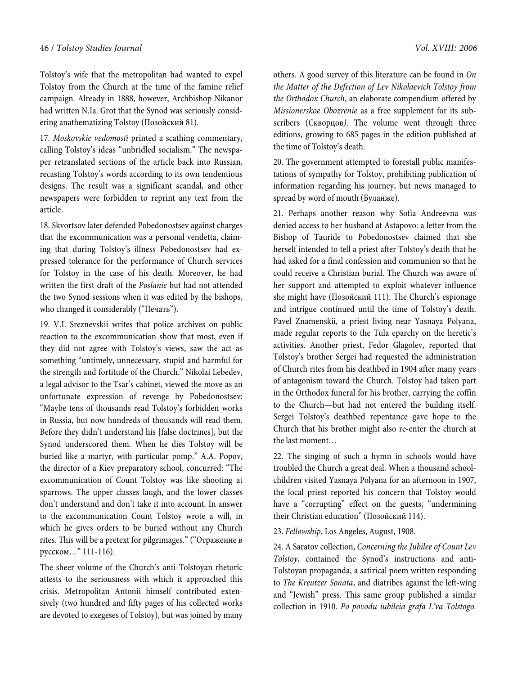Tolstoy's wife that the metropolitan had wanted to expel Tolstoy from the Church at the time of the famine relief campaign. Already in 1888, however, Archbishop Nikanor had written N.Ia. Grot that the Synod was seriously considering anathematizing Tolstoy (Позойский 81).

17. Moskovskie vedomosti printed a scathing commentary, calling Tolstoy's ideas "unbridled socialism." The newspaper retranslated sections of the article back into Russian, recasting Tolstoy's words according to its own tendentious designs. The result was a significant scandal, and other newspapers were forbidden to reprint any text from the article.

18. Skvortsov later defended Pobedonostsev against charges that the excommunication was a personal vendetta, claiming that during Tolstoy's illness Pobedonostsev had expressed tolerance for the performance of Church services for Tolstoy in the case of his death. Moreover, he had written the first draft of the Poslanie but had not attended the two Synod sessions when it was edited by the bishops, who changed it considerably ("Печать").

19. V.I. Sreznevskii writes that police archives on public reaction to the excommunication show that most, even if they did not agree with Tolstoy's views, saw the act as something "untimely, unnecessary, stupid and harmful for the strength and fortitude of the Church." Nikolai Lebedev, a legal advisor to the Tsar's cabinet, viewed the move as an unfortunate expression of revenge by Pobedonostsev: "Maybe tens of thousands read Tolstoy's forbidden works in Russia, but now hundreds of thousands will read them. Before they didn't understand his [false doctrines], but the Synod underscored them. When he dies Tolstoy will be buried like a martyr, with particular pomp." A.A. Popov, the director of a Kiev preparatory school, concurred: "The excommunication of Count Tolstoy was like shooting at sparrows. The upper classes laugh, and the lower classes don't understand and don't take it into account. In answer to the excommunication Count Tolstoy wrote a will, in which he gives orders to be buried without any Church rites. This will be a pretext for pilgrimages." ("Отражение в русском…" 111-116).

The sheer volume of the Church's anti-Tolstoyan rhetoric attests to the seriousness with which it approached this crisis. Metropolitan Antonii himself contributed extensively (two hundred and fifty pages of his collected works are devoted to exegeses of Tolstoy), but was joined by many

others. A good survey of this literature can be found in On the Matter of the Defection of Lev Nikolaevich Tolstoy from the Orthodox Church, an elaborate compendium offered by Missionerskoe Obozrenie as a free supplement for its subscribers (Скворцов). The volume went through three editions, growing to 685 pages in the edition published at the time of Tolstoy's death.

20. The government attempted to forestall public manifestations of sympathy for Tolstoy, prohibiting publication of information regarding his journey, but news managed to spread by word of mouth (Буланже).

21. Perhaps another reason why Sofia Andreevna was denied access to her husband at Astapovo: a letter from the Bishop of Tauride to Pobedonostsev claimed that she herself intended to tell a priest after Tolstoy's death that he had asked for a final confession and communion so that he could receive a Christian burial. The Church was aware of her support and attempted to exploit whatever influence she might have (Позойский 111). The Church's espionage and intrigue continued until the time of Tolstoy's death. Pavel Znamenskii, a priest living near Yasnaya Polyana, made regular reports to the Tula eparchy on the heretic's activities. Another priest, Fedor Glagolev, reported that Tolstoy's brother Sergei had requested the administration of Church rites from his deathbed in 1904 after many years of antagonism toward the Church. Tolstoy had taken part in the Orthodox funeral for his brother, carrying the coffin to the Church—but had not entered the building itself. Sergei Tolstoy's deathbed repentance gave hope to the Church that his brother might also re-enter the church at the last moment…

22. The singing of such a hymn in schools would have troubled the Church a great deal. When a thousand schoolchildren visited Yasnaya Polyana for an afternoon in 1907, the local priest reported his concern that Tolstoy would have a "corrupting" effect on the guests, "undermining their Christian education" (Позойский 114).

#### 23. Fellowship, Los Angeles, August, 1908.

24. A Saratov collection, Concerning the Jubilee of Count Lev Tolstoy, contained the Synod's instructions and anti-Tolstoyan propaganda, a satirical poem written responding to The Kreutzer Sonata, and diatribes against the left-wing and "Jewish" press. This same group published a similar collection in 1910. Po povodu iubileia grafa L'va Tolstogo.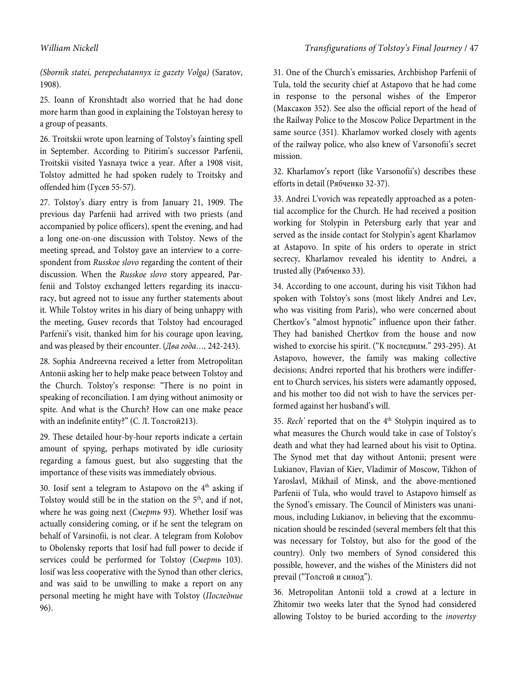(Sbornik statei, perepechatannyx iz gazety Volga) (Saratov, 1908).

25. Ioann of Kronshtadt also worried that he had done more harm than good in explaining the Tolstoyan heresy to a group of peasants.

26. Troitskii wrote upon learning of Tolstoy's fainting spell in September. According to Pitirim's successor Parfenii, Troitskii visited Yasnaya twice a year. After a 1908 visit, Tolstoy admitted he had spoken rudely to Troitsky and offended him (Гусев 55-57).

27. Tolstoy's diary entry is from January 21, 1909. The previous day Parfenii had arrived with two priests (and accompanied by police officers), spent the evening, and had a long one-on-one discussion with Tolstoy. News of the meeting spread, and Tolstoy gave an interview to a correspondent from Russkoe slovo regarding the content of their discussion. When the Russkoe slovo story appeared, Parfenii and Tolstoy exchanged letters regarding its inaccuracy, but agreed not to issue any further statements about it. While Tolstoy writes in his diary of being unhappy with the meeting, Gusev records that Tolstoy had encouraged Parfenii's visit, thanked him for his courage upon leaving, and was pleased by their encounter. (Два года…, 242-243).

28. Sophia Andreevna received a letter from Metropolitan Antonii asking her to help make peace between Tolstoy and the Church. Tolstoy's response: "There is no point in speaking of reconciliation. I am dying without animosity or spite. And what is the Church? How can one make peace with an indefinite entity?" (С. Л. Толстой213).

29. These detailed hour-by-hour reports indicate a certain amount of spying, perhaps motivated by idle curiosity regarding a famous guest, but also suggesting that the importance of these visits was immediately obvious.

30. Iosif sent a telegram to Astapovo on the  $4<sup>th</sup>$  asking if Tolstoy would still be in the station on the  $5<sup>th</sup>$ , and if not, where he was going next (Смерть 93). Whether Iosif was actually considering coming, or if he sent the telegram on behalf of Varsinofii, is not clear. A telegram from Kolobov to Obolensky reports that Iosif had full power to decide if services could be performed for Tolstoy (Смерть 103). Iosif was less cooperative with the Synod than other clerics, and was said to be unwilling to make a report on any personal meeting he might have with Tolstoy (Последние 96).

31. One of the Church's emissaries, Archbishop Parfenii of Tula, told the security chief at Astapovo that he had come in response to the personal wishes of the Emperor (Максаков 352). See also the official report of the head of the Railway Police to the Moscow Police Department in the same source (351). Kharlamov worked closely with agents of the railway police, who also knew of Varsonofii's secret mission.

32. Kharlamov's report (like Varsonofii's) describes these efforts in detail (Рябченко 32-37).

33. Andrei L'vovich was repeatedly approached as a potential accomplice for the Church. He had received a position working for Stolypin in Petersburg early that year and served as the inside contact for Stolypin's agent Kharlamov at Astapovo. In spite of his orders to operate in strict secrecy, Kharlamov revealed his identity to Andrei, a trusted ally (Рябченко 33).

34. According to one account, during his visit Tikhon had spoken with Tolstoy's sons (most likely Andrei and Lev, who was visiting from Paris), who were concerned about Chertkov's "almost hypnotic" influence upon their father. They had banished Chertkov from the house and now wished to exorcise his spirit. ("К последним." 293-295). At Astapovo, however, the family was making collective decisions; Andrei reported that his brothers were indifferent to Church services, his sisters were adamantly opposed, and his mother too did not wish to have the services performed against her husband's will.

35. Rech' reported that on the 4<sup>th</sup> Stolypin inquired as to what measures the Church would take in case of Tolstoy's death and what they had learned about his visit to Optina. The Synod met that day without Antonii; present were Lukianov, Flavian of Kiev, Vladimir of Moscow, Tikhon of Yaroslavl, Mikhail of Minsk, and the above-mentioned Parfenii of Tula, who would travel to Astapovo himself as the Synod's emissary. The Council of Ministers was unanimous, including Lukianov, in believing that the excommunication should be rescinded (several members felt that this was necessary for Tolstoy, but also for the good of the country). Only two members of Synod considered this possible, however, and the wishes of the Ministers did not prevail ("Толстой и синод").

36. Metropolitan Antonii told a crowd at a lecture in Zhitomir two weeks later that the Synod had considered allowing Tolstoy to be buried according to the inovertsy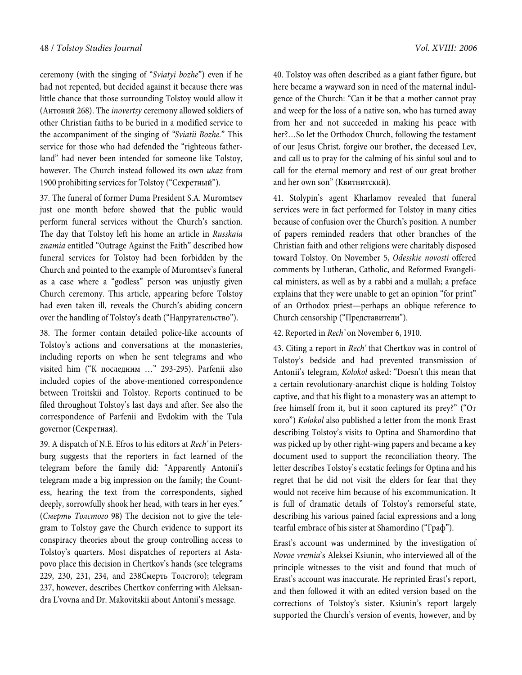ceremony (with the singing of "Sviatyi bozhe") even if he had not repented, but decided against it because there was little chance that those surrounding Tolstoy would allow it (Антоний 268). The inovertsy ceremony allowed soldiers of other Christian faiths to be buried in a modified service to the accompaniment of the singing of "Sviatii Bozhe." This service for those who had defended the "righteous fatherland" had never been intended for someone like Tolstoy, however. The Church instead followed its own ukaz from 1900 prohibiting services for Tolstoy ("Секретный").

37. The funeral of former Duma President S.A. Muromtsev just one month before showed that the public would perform funeral services without the Church's sanction. The day that Tolstoy left his home an article in Russkaia znamia entitled "Outrage Against the Faith" described how funeral services for Tolstoy had been forbidden by the Church and pointed to the example of Muromtsev's funeral as a case where a "godless" person was unjustly given Church ceremony. This article, appearing before Tolstoy had even taken ill, reveals the Church's abiding concern over the handling of Tolstoy's death ("Надругательство").

38. The former contain detailed police-like accounts of Tolstoy's actions and conversations at the monasteries, including reports on when he sent telegrams and who visited him ("К последним …" 293-295). Parfenii also included copies of the above-mentioned correspondence between Troitskii and Tolstoy. Reports continued to be filed throughout Tolstoy's last days and after. See also the correspondence of Parfenii and Evdokim with the Tula governor (Секретная).

39. A dispatch of N.E. Efros to his editors at Rech' in Petersburg suggests that the reporters in fact learned of the telegram before the family did: "Apparently Antonii's telegram made a big impression on the family; the Countess, hearing the text from the correspondents, sighed deeply, sorrowfully shook her head, with tears in her eyes." (Смерть Толстого 98) The decision not to give the telegram to Tolstoy gave the Church evidence to support its conspiracy theories about the group controlling access to Tolstoy's quarters. Most dispatches of reporters at Astapovo place this decision in Chertkov's hands (see telegrams 229, 230, 231, 234, and 238Смерть Толстого); telegram 237, however, describes Chertkov conferring with Aleksandra L'vovna and Dr. Makovitskii about Antonii's message.

40. Tolstoy was often described as a giant father figure, but here became a wayward son in need of the maternal indulgence of the Church: "Can it be that a mother cannot pray and weep for the loss of a native son, who has turned away from her and not succeeded in making his peace with her?…So let the Orthodox Church, following the testament of our Jesus Christ, forgive our brother, the deceased Lev, and call us to pray for the calming of his sinful soul and to call for the eternal memory and rest of our great brother and her own son" (Квитнитский).

41. Stolypin's agent Kharlamov revealed that funeral services were in fact performed for Tolstoy in many cities because of confusion over the Church's position. A number of papers reminded readers that other branches of the Christian faith and other religions were charitably disposed toward Tolstoy. On November 5, Odesskie novosti offered comments by Lutheran, Catholic, and Reformed Evangelical ministers, as well as by a rabbi and a mullah; a preface explains that they were unable to get an opinion "for print" of an Orthodox priest—perhaps an oblique reference to Church censorship ("Представители").

42. Reported in Rech' on November 6, 1910.

43. Citing a report in Rech' that Chertkov was in control of Tolstoy's bedside and had prevented transmission of Antonii's telegram, Kolokol asked: "Doesn't this mean that a certain revolutionary-anarchist clique is holding Tolstoy captive, and that his flight to a monastery was an attempt to free himself from it, but it soon captured its prey?" ("От кого") Kolokol also published a letter from the monk Erast describing Tolstoy's visits to Optina and Shamordino that was picked up by other right-wing papers and became a key document used to support the reconciliation theory. The letter describes Tolstoy's ecstatic feelings for Optina and his regret that he did not visit the elders for fear that they would not receive him because of his excommunication. It is full of dramatic details of Tolstoy's remorseful state, describing his various pained facial expressions and a long tearful embrace of his sister at Shamordino ("Граф").

Erast's account was undermined by the investigation of Novoe vremia's Aleksei Ksiunin, who interviewed all of the principle witnesses to the visit and found that much of Erast's account was inaccurate. He reprinted Erast's report, and then followed it with an edited version based on the corrections of Tolstoy's sister. Ksiunin's report largely supported the Church's version of events, however, and by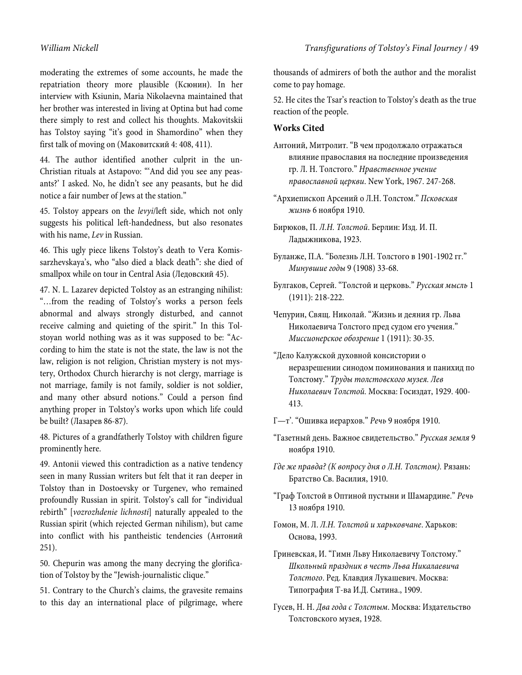moderating the extremes of some accounts, he made the repatriation theory more plausible (Ксюнин). In her interview with Ksiunin, Maria Nikolaevna maintained that her brother was interested in living at Optina but had come there simply to rest and collect his thoughts. Makovitskii has Tolstoy saying "it's good in Shamordino" when they first talk of moving on (Маковитский 4: 408, 411).

44. The author identified another culprit in the un-Christian rituals at Astapovo: "'And did you see any peasants?' I asked. No, he didn't see any peasants, but he did notice a fair number of Jews at the station."

45. Tolstoy appears on the levyi/left side, which not only suggests his political left-handedness, but also resonates with his name, Lev in Russian.

46. This ugly piece likens Tolstoy's death to Vera Komissarzhevskaya's, who "also died a black death": she died of smallpox while on tour in Central Asia (Ледовский 45).

47. N. L. Lazarev depicted Tolstoy as an estranging nihilist: "…from the reading of Tolstoy's works a person feels abnormal and always strongly disturbed, and cannot receive calming and quieting of the spirit." In this Tolstoyan world nothing was as it was supposed to be: "According to him the state is not the state, the law is not the law, religion is not religion, Christian mystery is not mystery, Orthodox Church hierarchy is not clergy, marriage is not marriage, family is not family, soldier is not soldier, and many other absurd notions." Could a person find anything proper in Tolstoy's works upon which life could be built? (Лазарев 86-87).

48. Pictures of a grandfatherly Tolstoy with children figure prominently here.

49. Antonii viewed this contradiction as a native tendency seen in many Russian writers but felt that it ran deeper in Tolstoy than in Dostoevsky or Turgenev, who remained profoundly Russian in spirit. Tolstoy's call for "individual rebirth" [vozrozhdenie lichnosti] naturally appealed to the Russian spirit (which rejected German nihilism), but came into conflict with his pantheistic tendencies (Антоний 251).

50. Chepurin was among the many decrying the glorification of Tolstoy by the "Jewish-journalistic clique."

51. Contrary to the Church's claims, the gravesite remains to this day an international place of pilgrimage, where

thousands of admirers of both the author and the moralist come to pay homage.

52. He cites the Tsar's reaction to Tolstoy's death as the true reaction of the people.

## **Works Cited**

- Антоний, Митролит. "В чем продолжало отражаться влияние православия на последние произведения гр. Л. Н. Толстого." Нравственное учение православной церкви. New York, 1967. 247-268.
- "Архиепископ Арсений о Л.Н. Толстом." Псковская жизнь 6 ноября 1910.
- Бирюков, П. Л.Н. Толстой. Берлин: Изд. И. П. Ладыжникова, 1923.
- Буланже, П.А. "Болезнь Л.Н. Толстого в 1901-1902 гг." Минувшие годы 9 (1908) 33-68.
- Булгаков, Сергей. "Толстой и церковь." Русская мысль 1 (1911): 218-222.
- Чепурин, Свящ. Николай. "Жизнь и деяния гр. Льва Николаевича Толстого пред судом его учения." Миссионерское обозрение 1 (1911): 30-35.
- "Дело Калужской духовной консистории о неразрешении синодом поминования и панихид по Толстому." Труды толстовского музея. Лев Николаевич Толстой. Москва: Госиздат, 1929. 400- 413.
- Г—т'. "Ошивка иерархов." Речь 9 ноября 1910.
- "Газетный день. Важное свидетельство." Русская земля 9 ноября 1910.
- Где же правда? (К вопросу дня о Л.Н. Толстом). Рязань: Братство Св. Василия, 1910.
- "Граф Толстой в Оптиной пустыни и Шамардине." Речь 13 ноября 1910.
- Гомон, М. Л. Л.Н. Толстой и харьковчане. Харьков: Основа, 1993.
- Гриневская, И. "Гимн Льву Николаевичу Толстому." Школьный праздник в честь Льва Никалаевича Толстого. Ред. Клавдия Лукашевич. Москва: Типография Т-ва И.Д. Сытина., 1909.
- Гусев, Н. Н. Два года с Толстым. Mосква: Издательство Толстовского музея, 1928.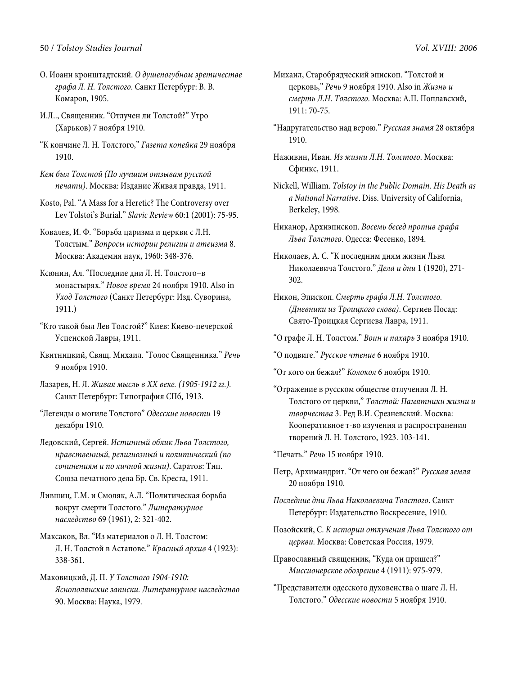#### 50 / Tolstoy Studies Journal Vol. XVIII*:* 2006

- О. Иоанн кронштадтский. О душепогубном эретичестве графа Л. Н. Толстого. Санкт Петербург: В. В. Комаров, 1905.
- И.Л.., Священник. "Отлучен ли Толстой?" Утро (Харьков) 7 ноября 1910.
- "К кончине Л. Н. Толстого," Газета копейка 29 ноября 1910.
- Кем был Толстой (По лучшим отзывам русской печати). Москва: Издание Живая правда, 1911.
- Kosto, Pal. "A Mass for a Heretic? The Controversy over Lev Tolstoi's Burial." Slavic Review 60:1 (2001): 75-95.
- Ковалев, И. Ф. "Борьба царизма и церкви с Л.Н. Толстым." Вопросы истории религии и атеизма 8. Москва: Академия наук, 1960: 348-376.
- Ксюнин, Ал. "Последние дни Л. Н. Толстого–в монастырях." Новое время 24 ноября 1910. Also in Уход Толстого (Санкт Петербург: Изд. Суворина, 1911.)
- "Кто такой был Лев Толстой?" Киев: Киево-печерской Успенской Лавры, 1911.
- Квитницкий, Свящ. Михаил. "Голос Священника." Речь 9 ноября 1910.
- Лазарев, Н. Л. Живая мысль в ХХ веке. (1905-1912 гг.). Санкт Петербург: Типография СПб, 1913.
- "Легенды о могиле Толстого" Одесские новости 19 декабря 1910.
- Ледовский, Сергей. Истинный облик Льва Толстого, нравственный, религиозный и политический (по сочинениям и по личной жизни). Саратов: Тип. Союза печатного дела Бр. Св. Креста, 1911.
- Лившиц, Г.М. и Смоляк, А.Л. "Политическая борьба вокруг смерти Толстого." Литературное наследство 69 (1961), 2: 321-402.
- Максаков, Вл. "Из материалов о Л. Н. Толстом: Л. Н. Толстой в Астапове." Красный архив 4 (1923): 338-361.
- Маковицкий, Д. П. У Толстого 1904-1910: Яснополянские записки. Литературное наследство 90. Москва: Наука, 1979.
- Михаил, Старобрядческий эпископ. "Толстой и церковь," Речь 9 ноября 1910. Also in Жизнь и смерть Л.Н. Толстого. Москва: А.П. Поплавский, 1911: 70-75.
- "Надругательство над верою." Русская знамя 28 октября 1910.
- Наживин, Иван. Из жизни Л.Н. Толстого. Москва: Сфинкс, 1911.
- Nickell, William. Tolstoy in the Public Domain. His Death as a National Narrative. Diss. University of California, Berkeley, 1998.
- Никанор, Архиэпископ. Восемь бесед против графа Льва Толстого. Одесса: Фесенко, 1894.
- Николаев, А. С. "К последним дням жизни Льва Николаевича Толстого." Дела и дни 1 (1920), 271- 302.
- Никон, Эпископ. Смерть графа Л.Н. Толстого. (Дневники из Троицкого слова). Сергиев Посад: Свято-Троицкая Сергиева Лавра, 1911.
- "О графе Л. Н. Толстом." Воин и пахарь 3 ноября 1910.
- "О подвиге." Русское чтение 6 ноября 1910.
- "От кого он бежал?" Колокол 6 ноября 1910.
- "Отражение в русском обществе отлучения Л. Н. Толстого от церкви," Толстой: Памятники жизни и творчества 3. Ред В.И. Срезневский. Москва: Кооперативное т-во изучения и распространения творений Л. Н. Толстого, 1923. 103-141.

"Печать." Речь 15 ноября 1910.

- Петр, Архимандрит. "От чего он бежал?" Русская земля 20 ноября 1910.
- Последние дни Льва Николаевича Толстого. Санкт Петербург: Издательство Воскресение, 1910.
- Позойский, С. К истории отлучения Льва Толстого от церкви. Москва: Советская Россия, 1979.
- Православный священник, "Куда он пришел?" Миссионерское обозрение 4 (1911): 975-979.
- "Представители одесского духовенства о шаге Л. Н. Толстого." Одесские новости 5 ноября 1910.